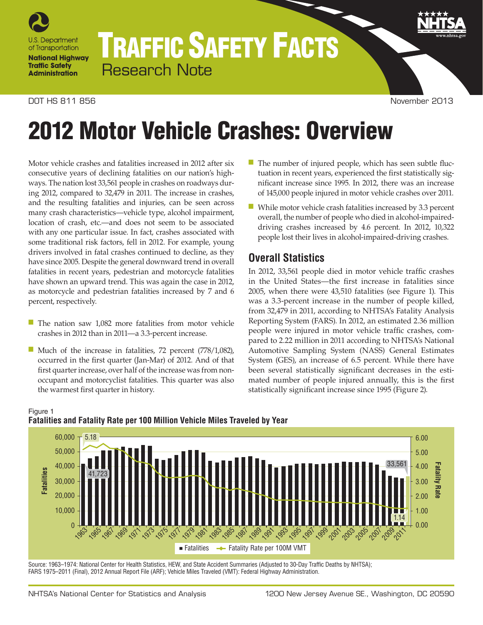

# TRAFFIC SAFETY FACTS Research Note

## DOT HS 811 856 November 2013

# 2012 Motor Vehicle Crashes: Overview

Motor vehicle crashes and fatalities increased in 2012 after six consecutive years of declining fatalities on our nation's highways. The nation lost 33,561 people in crashes on roadways during 2012, compared to 32,479 in 2011. The increase in crashes, and the resulting fatalities and injuries, can be seen across many crash characteristics—vehicle type, alcohol impairment, location of crash, etc.—and does not seem to be associated with any one particular issue. In fact, crashes associated with some traditional risk factors, fell in 2012. For example, young drivers involved in fatal crashes continued to decline, as they have since 2005. Despite the general downward trend in overall fatalities in recent years, pedestrian and motorcycle fatalities have shown an upward trend. This was again the case in 2012, as motorcycle and pedestrian fatalities increased by 7 and 6 percent, respectively.

- The nation saw 1,082 more fatalities from motor vehicle crashes in 2012 than in 2011—a 3.3-percent increase.
- Much of the increase in fatalities, 72 percent (778/1,082), occurred in the first quarter (Jan-Mar) of 2012. And of that first quarter increase, over half of the increase was from nonoccupant and motorcyclist fatalities. This quarter was also the warmest first quarter in history.
- The number of injured people, which has seen subtle fluctuation in recent years, experienced the first statistically significant increase since 1995. In 2012, there was an increase of 145,000 people injured in motor vehicle crashes over 2011.
- While motor vehicle crash fatalities increased by 3.3 percent overall, the number of people who died in alcohol-impaireddriving crashes increased by 4.6 percent. In 2012, 10,322 people lost their lives in alcohol-impaired-driving crashes.

# **Overall Statistics**

In 2012, 33,561 people died in motor vehicle traffic crashes in the United States—the first increase in fatalities since 2005, when there were 43,510 fatalities (see Figure 1). This was a 3.3-percent increase in the number of people killed, from 32,479 in 2011, according to NHTSA's Fatality Analysis Reporting System (FARS). In 2012, an estimated 2.36 million people were injured in motor vehicle traffic crashes, compared to 2.22 million in 2011 according to NHTSA's National Automotive Sampling System (NASS) General Estimates System (GES), an increase of 6.5 percent. While there have been several statistically significant decreases in the estimated number of people injured annually, this is the first statistically significant increase since 1995 (Figure 2).



#### Figure 1 **Fatalities and Fatality Rate per 100 Million Vehicle Miles Traveled by Year**

Source: 1963–1974: National Center for Health Statistics, HEW, and State Accident Summaries (Adjusted to 30-Day Traffic Deaths by NHTSA); FARS 1975–2011 (Final), 2012 Annual Report File (ARF); Vehicle Miles Traveled (VMT): Federal Highway Administration.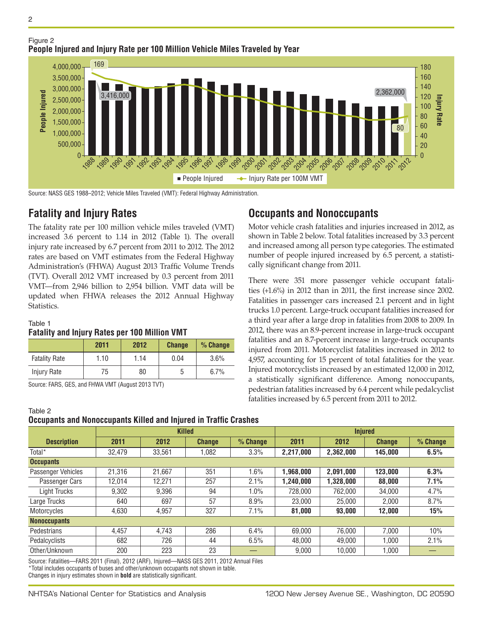



Source: NASS GES 1988–2012; Vehicle Miles Traveled (VMT): Federal Highway Administration.

## **Fatality and Injury Rates**

The fatality rate per 100 million vehicle miles traveled (VMT) increased 3.6 percent to 1.14 in 2012 (Table 1). The overall injury rate increased by 6.7 percent from 2011 to 2012. The 2012 rates are based on VMT estimates from the Federal Highway Administration's (FHWA) August 2013 Traffic Volume Trends (TVT). Overall 2012 VMT increased by 0.3 percent from 2011 VMT—from 2,946 billion to 2,954 billion. VMT data will be updated when FHWA releases the 2012 Annual Highway Statistics.

#### Table 1

#### **Fatality and Injury Rates per 100 Million VMT**

|                      | 2011 | 2012 | <b>Change</b> | % Change |
|----------------------|------|------|---------------|----------|
| <b>Fatality Rate</b> | 1.10 | 1.14 | 0.04          | 3.6%     |
| Injury Rate          | 75   | 80   | 5             | 6.7%     |

Source: FARS, GES, and FHWA VMT (August 2013 TVT)

## Table 2 **Occupants and Nonoccupants Killed and Injured in Traffic Crashes**

## **Description Killed Injured 2011 2012 Change % Change 2011 2012 Change % Change** Total\* 32,479 33,561 1,082 3.3% **2,217,000 2,362,000 145,000 6.5% Occupants** Passenger Vehicles 21,316 21,667 351 1.6% **1,968,000 2,091,000 123,000 6.3%** Passenger Cars 12,014 12,271 257 2.1% **1,240,000 1,328,000 88,000 7.1%** Light Trucks | 9,302 | 9,396 | 94 | 1.0% | 728,000 | 762,000 | 34,000 | 4.7% Large Trucks | 640 | 697 | 57 | 8.9% | 23,000 | 25,000 | 2,000 | 8.7% Motorcycles 4,630 4,957 327 7.1% **81,000 93,000 12,000 15% Nonoccupants** Pedestrians | 4,457 | 4,743 | 286 | 6.4% | 69,000 | 76,000 | 7,000 | 10% Pedalcyclists 682 726 44 6.5% 48,000 49,000 1,000 2.1% Other/Unknown | 200 | 223 | 23 | — | 9,000 | 10,000 | 1,000 | —

Source: Fatalities—FARS 2011 (Final), 2012 (ARF), Injured—NASS GES 2011, 2012 Annual Files \*Total includes occupants of buses and other/unknown occupants not shown in table. Changes in injury estimates shown in **bold** are statistically significant.

**Occupants and Nonoccupants**

Motor vehicle crash fatalities and injuries increased in 2012, as shown in Table 2 below. Total fatalities increased by 3.3 percent and increased among all person type categories. The estimated number of people injured increased by 6.5 percent, a statistically significant change from 2011.

There were 351 more passenger vehicle occupant fatalities (+1.6%) in 2012 than in 2011, the first increase since 2002. Fatalities in passenger cars increased 2.1 percent and in light trucks 1.0 percent. Large-truck occupant fatalities increased for a third year after a large drop in fatalities from 2008 to 2009. In 2012, there was an 8.9-percent increase in large-truck occupant fatalities and an 8.7-percent increase in large-truck occupants injured from 2011. Motorcyclist fatalities increased in 2012 to 4,957, accounting for 15 percent of total fatalities for the year. Injured motorcyclists increased by an estimated 12,000 in 2012, a statistically significant difference. Among nonoccupants, pedestrian fatalities increased by 6.4 percent while pedalcyclist fatalities increased by 6.5 percent from 2011 to 2012.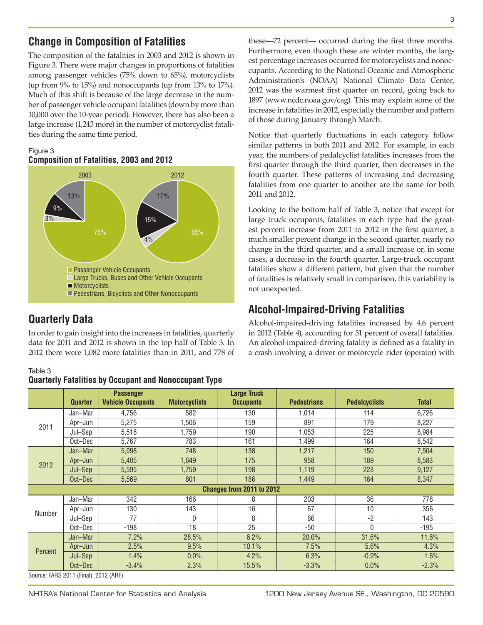# **Change in Composition of Fatalities**

The composition of the fatalities in 2003 and 2012 is shown in Figure 3. There were major changes in proportions of fatalities among passenger vehicles (75% down to 65%), motorcyclists (up from 9% to 15%) and nonoccupants (up from 13% to 17%). Much of this shift is because of the large decrease in the number of passenger vehicle occupant fatalities (down by more than 10,000 over the 10-year period). However, there has also been a large increase (1,243 more) in the number of motorcyclist fatalities during the same time period.

## Figure 3 **Composition of Fatalities, 2003 and 2012**



# **Quarterly Data**

In order to gain insight into the increases in fatalities, quarterly data for 2011 and 2012 is shown in the top half of Table 3. In 2012 there were 1,082 more fatalities than in 2011, and 778 of

#### Table 3 **Quarterly Fatalities by Occupant and Nonoccupant Type**

these—72 percent— occurred during the first three months. Furthermore, even though these are winter months, the largest percentage increases occurred for motorcyclists and nonoccupants. According to the National Oceanic and Atmospheric Administration's (NOAA) National Climate Data Center, 2012 was the warmest first quarter on record, going back to 1897 (www.ncdc.noaa.gov/cag). This may explain some of the increase in fatalities in 2012, especially the number and pattern of those during January through March.

Notice that quarterly fluctuations in each category follow similar patterns in both 2011 and 2012. For example, in each year, the numbers of pedalcyclist fatalities increases from the first quarter through the third quarter, then decreases in the fourth quarter. These patterns of increasing and decreasing fatalities from one quarter to another are the same for both 2011 and 2012.

Looking to the bottom half of Table 3, notice that except for large truck occupants, fatalities in each type had the greatest percent increase from 2011 to 2012 in the first quarter, a much smaller percent change in the second quarter, nearly no change in the third quarter, and a small increase or, in some cases, a decrease in the fourth quarter. Large-truck occupant fatalities show a different pattern, but given that the number of fatalities is relatively small in comparison, this variability is not unexpected.

# **Alcohol-Impaired-Driving Fatalities**

Alcohol-impaired-driving fatalities increased by 4.6 percent in 2012 (Table 4), accounting for 31 percent of overall fatalities. An alcohol-impaired-driving fatality is defined as a fatality in a crash involving a driver or motorcycle rider (operator) with

|         | <b>Quarter</b>                        | <b>Passenger</b><br><b>Vehicle Occupants</b> | <b>Motorcyclists</b> | <b>Large Truck</b><br><b>Occupants</b> | <b>Pedestrians</b> | <b>Pedalcyclists</b> | <b>Total</b> |
|---------|---------------------------------------|----------------------------------------------|----------------------|----------------------------------------|--------------------|----------------------|--------------|
|         | Jan-Mar                               | 4,756                                        | 582                  | 130                                    | 1,014              | 114                  | 6,726        |
| 2011    | Apr-Jun                               | 5,275                                        | ,506                 | 159                                    | 891                | 179                  | 8,227        |
|         | Jul-Sep                               | 5,518                                        | 1,759                | 190                                    | 1,053              | 225                  | 8,984        |
|         | Oct-Dec                               | 5,767                                        | 783                  | 161                                    | 1,499              | 164                  | 8,542        |
|         | Jan-Mar                               | 5,098                                        | 748                  | 138                                    | 1,217              | 150                  | 7,504        |
| 2012    | Apr-Jun                               | 5,405                                        | 1,649                | 175                                    | 958                | 189                  | 8,583        |
|         | Jul-Sep                               | 5,595                                        | 1.759                | 198                                    | 1,119              | 223                  | 9,127        |
|         | Oct-Dec                               | 5,569                                        | 801                  | 186                                    | 1,449              | 164                  | 8,347        |
|         |                                       |                                              |                      | Changes from 2011 to 2012              |                    |                      |              |
|         | Jan-Mar                               | 342                                          | 166                  | 8                                      | 203                | 36                   | 778          |
| Number  | Apr-Jun                               | 130                                          | 143                  | 16                                     | 67                 | 10                   | 356          |
|         | Jul–Sep                               | 77                                           | $\Omega$             | 8                                      | 66                 | $-2$                 | 143          |
|         | Oct-Dec                               | $-198$                                       | 18                   | 25                                     | $-50$              | $\mathbf{0}$         | $-195$       |
|         | Jan-Mar                               | 7.2%                                         | 28.5%                | 6.2%                                   | 20.0%              | 31.6%                | 11.6%        |
| Percent | Apr-Jun                               | 2.5%                                         | 9.5%                 | 10.1%                                  | 7.5%               | 5.6%                 | 4.3%         |
|         | Jul-Sep                               | 1.4%                                         | 0.0%                 | 4.2%                                   | 6.3%               | $-0.9%$              | 1.6%         |
|         | Oct-Dec                               | $-3.4%$                                      | 2.3%                 | 15.5%                                  | $-3.3%$            | 0.0%                 | $-2.3%$      |
|         | Source: FARS 2011 (Final), 2012 (ARF) |                                              |                      |                                        |                    |                      |              |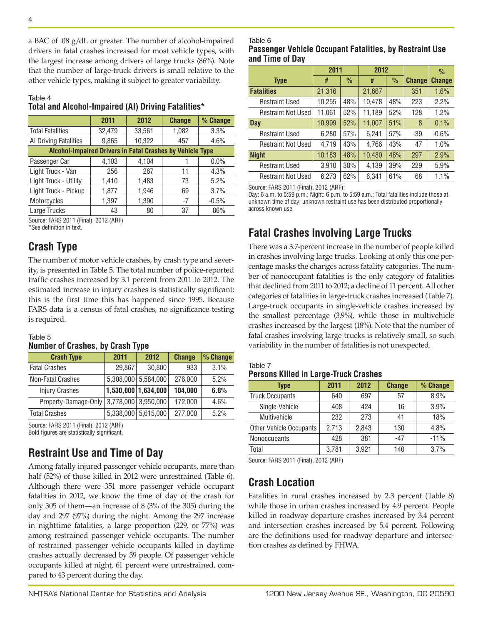a BAC of .08 g/dL or greater. The number of alcohol-impaired drivers in fatal crashes increased for most vehicle types, with the largest increase among drivers of large trucks (86%). Note that the number of large-truck drivers is small relative to the other vehicle types, making it subject to greater variability.

#### Table 4 **Total and Alcohol-Impaired (AI) Driving Fatalities\***

| 2011                                                             | 2012   | <b>Change</b> | % Change |  |  |  |  |
|------------------------------------------------------------------|--------|---------------|----------|--|--|--|--|
| 32,479                                                           | 33,561 | 1,082         | 3.3%     |  |  |  |  |
| 9,865                                                            |        | 457           | 4.6%     |  |  |  |  |
| <b>Alcohol-Impaired Drivers in Fatal Crashes by Vehicle Type</b> |        |               |          |  |  |  |  |
| 4,103                                                            | 4,104  |               | 0.0%     |  |  |  |  |
| 256                                                              | 267    | 11            | 4.3%     |  |  |  |  |
| 1,410                                                            | 1,483  | 73            | 5.2%     |  |  |  |  |
| 1,877                                                            | 1,946  | 69            | 3.7%     |  |  |  |  |
| 1,397                                                            | 1,390  | $-7$          | $-0.5%$  |  |  |  |  |
| 43                                                               | 80     | 37            | 86%      |  |  |  |  |
|                                                                  |        | 10,322        |          |  |  |  |  |

Source: FARS 2011 (Final), 2012 (ARF)

\*See definition in text.

# **Crash Type**

The number of motor vehicle crashes, by crash type and severity, is presented in Table 5. The total number of police-reported traffic crashes increased by 3.1 percent from 2011 to 2012. The estimated increase in injury crashes is statistically significant; this is the first time this has happened since 1995. Because FARS data is a census of fatal crashes, no significance testing is required.

## Table 5 **Number of Crashes, by Crash Type**

| <b>Crash Type</b>     | 2011   | 2012                | <b>Change</b> | % Change |
|-----------------------|--------|---------------------|---------------|----------|
| <b>Fatal Crashes</b>  | 29.867 | 30,800              | 933           | 3.1%     |
| Non-Fatal Crashes     |        | 5,308,000 5,584,000 | 276,000       | 5.2%     |
| <b>Injury Crashes</b> |        | 1,530,000 1,634,000 | 104,000       | 6.8%     |
| Property-Damage-Only  |        | 3,778,000 3,950,000 | 172,000       | 4.6%     |
| <b>Total Crashes</b>  |        | 5,338,000 5,615,000 | 277,000       | 5.2%     |

Source: FARS 2011 (Final), 2012 (ARF)

Bold figures are statistically significant.

# **Restraint Use and Time of Day**

Among fatally injured passenger vehicle occupants, more than half (52%) of those killed in 2012 were unrestrained (Table 6). Although there were 351 more passenger vehicle occupant fatalities in 2012, we know the time of day of the crash for only 305 of them—an increase of 8 (3% of the 305) during the day and 297 (97%) during the night. Among the 297 increase in nighttime fatalities, a large proportion (229, or 77%) was among restrained passenger vehicle occupants. The number of restrained passenger vehicle occupants killed in daytime crashes actually decreased by 39 people. Of passenger vehicle occupants killed at night, 61 percent were unrestrained, compared to 43 percent during the day.

## **Passenger Vehicle Occupant Fatalities, by Restraint Use and Time of Day**

|                           | 2011   |               | 2012   |               |               | $\frac{0}{0}$ |
|---------------------------|--------|---------------|--------|---------------|---------------|---------------|
| <b>Type</b>               | #      | $\frac{0}{0}$ | #      | $\frac{0}{0}$ | <b>Change</b> | <b>Change</b> |
| <b>Fatalities</b>         | 21,316 |               | 21,667 |               | 351           | 1.6%          |
| <b>Restraint Used</b>     | 10,255 | 48%           | 10,478 | 48%           | 223           | 2.2%          |
| <b>Restraint Not Used</b> | 11,061 | 52%           | 11,189 | 52%           | 128           | 1.2%          |
| <b>Day</b>                | 10,999 | 52%           | 11,007 | 51%           | 8             | 0.1%          |
| <b>Restraint Used</b>     | 6,280  | 57%           | 6,241  | 57%           | -39           | $-0.6%$       |
| <b>Restraint Not Used</b> | 4,719  | 43%           | 4,766  | 43%           | 47            | 1.0%          |
| <b>Night</b>              | 10,183 | 48%           | 10,480 | 48%           | 297           | 2.9%          |
| <b>Restraint Used</b>     | 3,910  | 38%           | 4,139  | 39%           | 229           | 5.9%          |
| <b>Restraint Not Used</b> | 6,273  | 62%           | 6,341  | 61%           | 68            | 1.1%          |

Source: FARS 2011 (Final), 2012 (ARF);

Day: 6 a.m. to 5:59 p.m.; Night: 6 p.m. to 5:59 a.m.; Total fatalities include those at unknown time of day; unknown restraint use has been distributed proportionally across known use.

# **Fatal Crashes Involving Large Trucks**

There was a 3.7-percent increase in the number of people killed in crashes involving large trucks. Looking at only this one percentage masks the changes across fatality categories. The number of nonoccupant fatalities is the only category of fatalities that declined from 2011 to 2012; a decline of 11 percent. All other categories of fatalities in large-truck crashes increased (Table 7). Large-truck occupants in single-vehicle crashes increased by the smallest percentage (3.9%), while those in multivehicle crashes increased by the largest (18%). Note that the number of fatal crashes involving large trucks is relatively small, so such variability in the number of fatalities is not unexpected.

## Table 7 **Persons Killed in Large-Truck Crashes**

| Type                    | 2011  | 2012  | <b>Change</b> | % Change |
|-------------------------|-------|-------|---------------|----------|
| <b>Truck Occupants</b>  | 640   | 697   | 57            | 8.9%     |
| Single-Vehicle          | 408   | 424   | 16            | 3.9%     |
| Multivehicle            | 232   | 273   | 41            | 18%      |
| Other Vehicle Occupants | 2,713 | 2,843 | 130           | 4.8%     |
| Nonoccupants            | 428   | 381   | $-47$         | $-11%$   |
| Total                   | 3,781 | 3,921 | 140           | 3.7%     |

Source: FARS 2011 (Final), 2012 (ARF)

## **Crash Location**

Fatalities in rural crashes increased by 2.3 percent (Table 8) while those in urban crashes increased by 4.9 percent. People killed in roadway departure crashes increased by 3.4 percent and intersection crashes increased by 5.4 percent. Following are the definitions used for roadway departure and intersection crashes as defined by FHWA.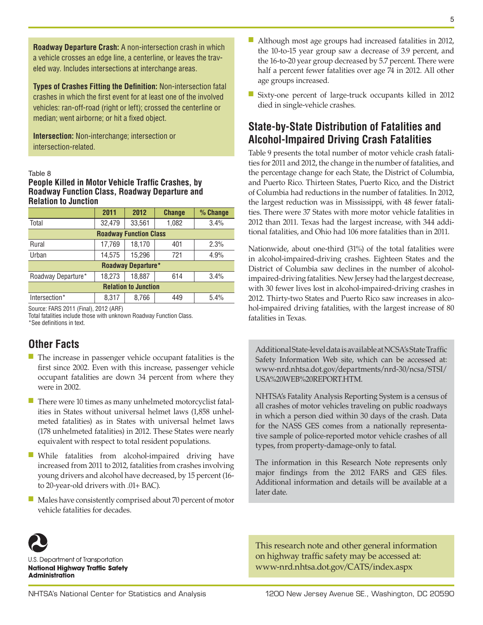**Roadway Departure Crash:** A non-intersection crash in which a vehicle crosses an edge line, a centerline, or leaves the traveled way. Includes intersections at interchange areas.

**Types of Crashes Fitting the Definition:** Non-intersection fatal crashes in which the first event for at least one of the involved vehicles: ran-off-road (right or left); crossed the centerline or median; went airborne; or hit a fixed object.

**Intersection:** Non-interchange; intersection or intersection-related.

#### Table 8

## **People Killed in Motor Vehicle Traffic Crashes, by Roadway Function Class, Roadway Departure and Relation to Junction**

|                               | 2011   | 2012   | <b>Change</b> | % Change |  |  |  |  |
|-------------------------------|--------|--------|---------------|----------|--|--|--|--|
| Total                         | 32,479 | 33,561 | 1,082         | 3.4%     |  |  |  |  |
| <b>Roadway Function Class</b> |        |        |               |          |  |  |  |  |
| Rural                         | 17,769 | 18,170 | 401           | 2.3%     |  |  |  |  |
| Urban                         | 14,575 | 15,296 | 721           | 4.9%     |  |  |  |  |
| <b>Roadway Departure*</b>     |        |        |               |          |  |  |  |  |
| Roadway Departure*            | 18,273 | 18,887 | 614           | 3.4%     |  |  |  |  |
| <b>Relation to Junction</b>   |        |        |               |          |  |  |  |  |
| Intersection*                 | 8,317  | 8,766  | 449           | 5.4%     |  |  |  |  |

Source: FARS 2011 (Final), 2012 (ARF)

Total fatalities include those with unknown Roadway Function Class. \*See definitions in text.

## **Other Facts**

- The increase in passenger vehicle occupant fatalities is the first since 2002. Even with this increase, passenger vehicle occupant fatalities are down 34 percent from where they were in 2002.
- There were 10 times as many unhelmeted motorcyclist fatalities in States without universal helmet laws (1,858 unhelmeted fatalities) as in States with universal helmet laws (178 unhelmeted fatalities) in 2012. These States were nearly equivalent with respect to total resident populations.
- While fatalities from alcohol-impaired driving have increased from 2011 to 2012, fatalities from crashes involving young drivers and alcohol have decreased, by 15 percent (16 to 20-year-old drivers with .01+ BAC).
- Males have consistently comprised about 70 percent of motor vehicle fatalities for decades.



U.S. Department of Transportation **National Highway Traffic Safety Administration** 

- Although most age groups had increased fatalities in 2012, the 10-to-15 year group saw a decrease of 3.9 percent, and the 16-to-20 year group decreased by 5.7 percent. There were half a percent fewer fatalities over age 74 in 2012. All other age groups increased.
- Sixty-one percent of large-truck occupants killed in 2012 died in single-vehicle crashes.

## **State-by-State Distribution of Fatalities and Alcohol-Impaired Driving Crash Fatalities**

Table 9 presents the total number of motor vehicle crash fatalities for 2011 and 2012, the change in the number of fatalities, and the percentage change for each State, the District of Columbia, and Puerto Rico. Thirteen States, Puerto Rico, and the District of Columbia had reductions in the number of fatalities. In 2012, the largest reduction was in Mississippi, with 48 fewer fatalities. There were 37 States with more motor vehicle fatalities in 2012 than 2011. Texas had the largest increase, with 344 additional fatalities, and Ohio had 106 more fatalities than in 2011.

Nationwide, about one-third (31%) of the total fatalities were in alcohol-impaired-driving crashes. Eighteen States and the District of Columbia saw declines in the number of alcoholimpaired-driving fatalities. New Jersey had the largest decrease, with 30 fewer lives lost in alcohol-impaired-driving crashes in 2012. Thirty-two States and Puerto Rico saw increases in alcohol-impaired driving fatalities, with the largest increase of 80 fatalities in Texas.

Additional State-level data is available at NCSA's State Traffic Safety Information Web site, which can be accessed at: [www-nrd.nhtsa.dot.gov/departments/nrd-30/ncsa/STSI/](http://www-nrd.nhtsa.dot.gov/departments/nrd-30/ncsa/STSI/USA%20WEB%20REPORT.HTM) [USA%20WEB%20REPORT.HTM.](http://www-nrd.nhtsa.dot.gov/departments/nrd-30/ncsa/STSI/USA%20WEB%20REPORT.HTM)

NHTSA's Fatality Analysis Reporting System is a census of all crashes of motor vehicles traveling on public roadways in which a person died within 30 days of the crash. Data for the NASS GES comes from a nationally representative sample of police-reported motor vehicle crashes of all types, from property-damage-only to fatal.

The information in this Research Note represents only major findings from the 2012 FARS and GES files. Additional information and details will be available at a later date.

This research note and other general information on highway traffic safety may be accessed at: [www-nrd.nhtsa.dot.gov/CATS/index.aspx](http://www-nrd.nhtsa.dot.gov/CATS/index.aspx)